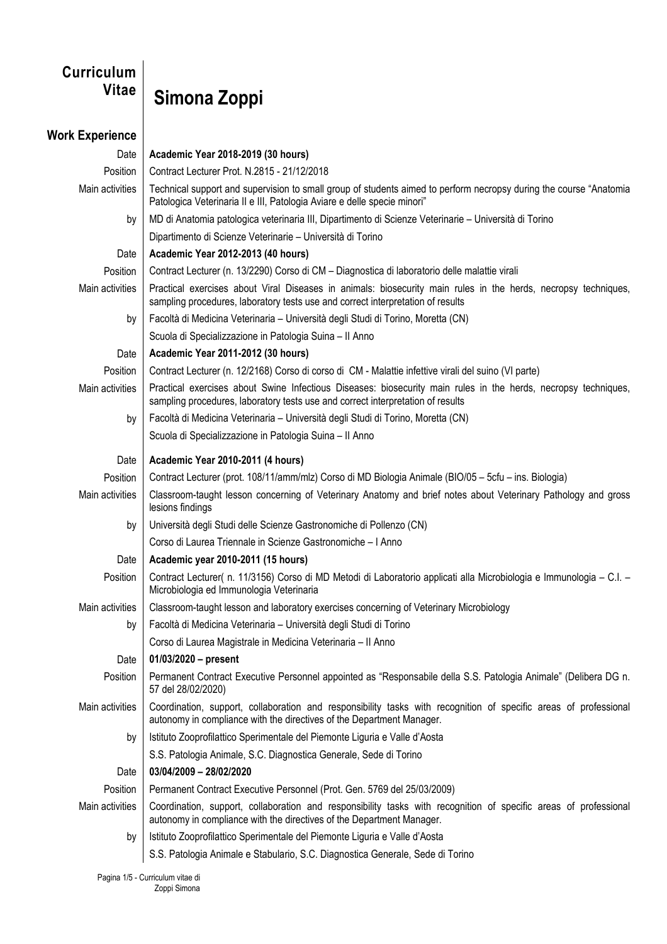## **Curriculum**

## **Vitae Simona Zoppi**

## **Work Experience** Date **Academic Year 2018-2019 (30 hours)** Position | Contract Lecturer Prot. N.2815 - 21/12/2018 Main activities Technical support and supervision to small group of students aimed to perform necropsy during the course "Anatomia" Patologica Veterinaria II e III, Patologia Aviare e delle specie minori" by MD di Anatomia patologica veterinaria III, Dipartimento di Scienze Veterinarie – Università di Torino Dipartimento di Scienze Veterinarie – Università di Torino Date **Academic Year 2012-2013 (40 hours)**  Position | Contract Lecturer (n. 13/2290) Corso di CM – Diagnostica di laboratorio delle malattie virali Main activities | Practical exercises about Viral Diseases in animals: biosecurity main rules in the herds, necropsy techniques, sampling procedures, laboratory tests use and correct interpretation of results by Facoltà di Medicina Veterinaria – Università degli Studi di Torino, Moretta (CN) Scuola di Specializzazione in Patologia Suina – II Anno Date **Academic Year 2011-2012 (30 hours)**  Position | Contract Lecturer (n. 12/2168) Corso di corso di CM - Malattie infettive virali del suino (VI parte) Main activities Practical exercises about Swine Infectious Diseases: biosecurity main rules in the herds, necropsy techniques, sampling procedures, laboratory tests use and correct interpretation of results by Facoltà di Medicina Veterinaria – Università degli Studi di Torino, Moretta (CN) Scuola di Specializzazione in Patologia Suina – II Anno Date **Academic Year 2010-2011 (4 hours)** Position | Contract Lecturer (prot. 108/11/amm/mlz) Corso di MD Biologia Animale (BIO/05 – 5cfu – ins. Biologia) Main activities | Classroom-taught lesson concerning of Veterinary Anatomy and brief notes about Veterinary Pathology and gross lesions findings by Università degli Studi delle Scienze Gastronomiche di Pollenzo (CN) Corso di Laurea Triennale in Scienze Gastronomiche – I Anno Date **Academic year 2010-2011 (15 hours)** Position | Contract Lecturer( n. 11/3156) Corso di MD Metodi di Laboratorio applicati alla Microbiologia e Immunologia – C.I. – Microbiologia ed Immunologia Veterinaria Main activities Classroom-taught lesson and laboratory exercises concerning of Veterinary Microbiology by Facoltà di Medicina Veterinaria – Università degli Studi di Torino Corso di Laurea Magistrale in Medicina Veterinaria – II Anno Date **01/03/2020 – present** Position | Permanent Contract Executive Personnel appointed as "Responsabile della S.S. Patologia Animale" (Delibera DG n. 57 del 28/02/2020) Main activities | Coordination, support, collaboration and responsibility tasks with recognition of specific areas of professional autonomy in compliance with the directives of the Department Manager. by | Istituto Zooprofilattico Sperimentale del Piemonte Liguria e Valle d'Aosta S.S. Patologia Animale, S.C. Diagnostica Generale, Sede di Torino Date **03/04/2009 – 28/02/2020** Position | Permanent Contract Executive Personnel (Prot. Gen. 5769 del 25/03/2009) Main activities Coordination, support, collaboration and responsibility tasks with recognition of specific areas of professional autonomy in compliance with the directives of the Department Manager. by Istituto Zooprofilattico Sperimentale del Piemonte Liguria e Valle d'Aosta S.S. Patologia Animale e Stabulario, S.C. Diagnostica Generale, Sede di Torino

Pagina 1/5 - Curriculum vitae di Zoppi Simona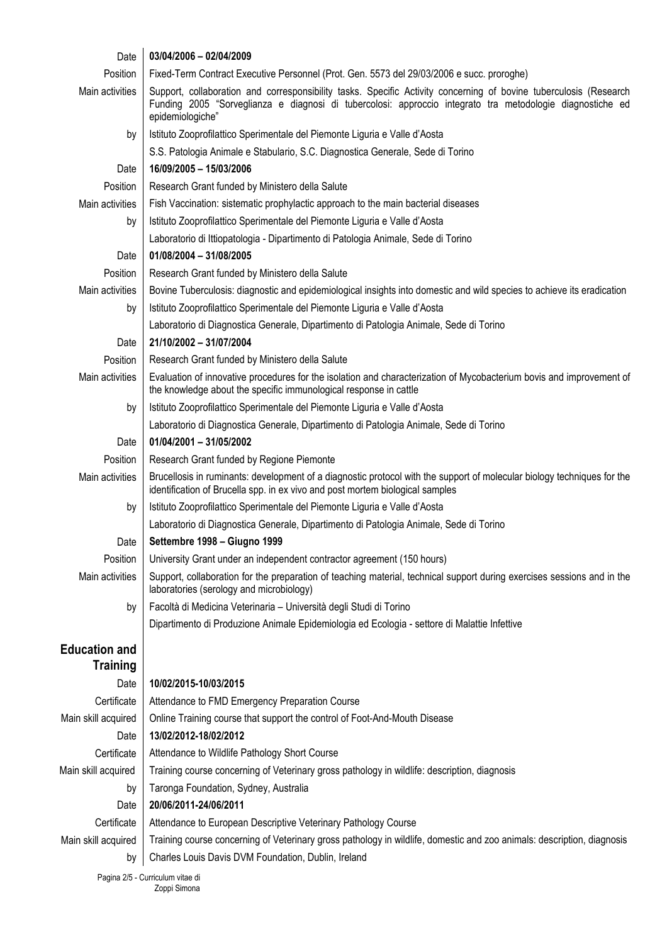| Date                 | 03/04/2006 - 02/04/2009                                                                                                                                                                                                                            |
|----------------------|----------------------------------------------------------------------------------------------------------------------------------------------------------------------------------------------------------------------------------------------------|
| Position             | Fixed-Term Contract Executive Personnel (Prot. Gen. 5573 del 29/03/2006 e succ. proroghe)                                                                                                                                                          |
| Main activities      | Support, collaboration and corresponsibility tasks. Specific Activity concerning of bovine tuberculosis (Research<br>Funding 2005 "Sorveglianza e diagnosi di tubercolosi: approccio integrato tra metodologie diagnostiche ed<br>epidemiologiche" |
| by                   | Istituto Zooprofilattico Sperimentale del Piemonte Liguria e Valle d'Aosta                                                                                                                                                                         |
|                      | S.S. Patologia Animale e Stabulario, S.C. Diagnostica Generale, Sede di Torino                                                                                                                                                                     |
| Date                 | 16/09/2005 - 15/03/2006                                                                                                                                                                                                                            |
| Position             | Research Grant funded by Ministero della Salute                                                                                                                                                                                                    |
| Main activities      | Fish Vaccination: sistematic prophylactic approach to the main bacterial diseases                                                                                                                                                                  |
| by                   | Istituto Zooprofilattico Sperimentale del Piemonte Liguria e Valle d'Aosta                                                                                                                                                                         |
|                      | Laboratorio di Ittiopatologia - Dipartimento di Patologia Animale, Sede di Torino                                                                                                                                                                  |
| Date                 | 01/08/2004 - 31/08/2005                                                                                                                                                                                                                            |
| Position             | Research Grant funded by Ministero della Salute                                                                                                                                                                                                    |
| Main activities      | Bovine Tuberculosis: diagnostic and epidemiological insights into domestic and wild species to achieve its eradication                                                                                                                             |
| by                   | Istituto Zooprofilattico Sperimentale del Piemonte Liguria e Valle d'Aosta                                                                                                                                                                         |
|                      | Laboratorio di Diagnostica Generale, Dipartimento di Patologia Animale, Sede di Torino                                                                                                                                                             |
| Date                 | 21/10/2002 - 31/07/2004                                                                                                                                                                                                                            |
| Position             | Research Grant funded by Ministero della Salute                                                                                                                                                                                                    |
| Main activities      | Evaluation of innovative procedures for the isolation and characterization of Mycobacterium bovis and improvement of<br>the knowledge about the specific immunological response in cattle                                                          |
| by                   | Istituto Zooprofilattico Sperimentale del Piemonte Liguria e Valle d'Aosta                                                                                                                                                                         |
|                      | Laboratorio di Diagnostica Generale, Dipartimento di Patologia Animale, Sede di Torino                                                                                                                                                             |
| Date                 | 01/04/2001 - 31/05/2002                                                                                                                                                                                                                            |
| Position             | Research Grant funded by Regione Piemonte                                                                                                                                                                                                          |
| Main activities      | Brucellosis in ruminants: development of a diagnostic protocol with the support of molecular biology techniques for the<br>identification of Brucella spp. in ex vivo and post mortem biological samples                                           |
| by                   | Istituto Zooprofilattico Sperimentale del Piemonte Liguria e Valle d'Aosta                                                                                                                                                                         |
|                      | Laboratorio di Diagnostica Generale, Dipartimento di Patologia Animale, Sede di Torino                                                                                                                                                             |
| Date                 | Settembre 1998 - Giugno 1999                                                                                                                                                                                                                       |
| Position             | University Grant under an independent contractor agreement (150 hours)                                                                                                                                                                             |
| Main activities      | Support, collaboration for the preparation of teaching material, technical support during exercises sessions and in the<br>laboratories (serology and microbiology)                                                                                |
| by                   | Facoltà di Medicina Veterinaria - Università degli Studi di Torino                                                                                                                                                                                 |
|                      | Dipartimento di Produzione Animale Epidemiologia ed Ecologia - settore di Malattie Infettive                                                                                                                                                       |
| <b>Education and</b> |                                                                                                                                                                                                                                                    |
| <b>Training</b>      |                                                                                                                                                                                                                                                    |
| Date                 | 10/02/2015-10/03/2015                                                                                                                                                                                                                              |
| Certificate          | Attendance to FMD Emergency Preparation Course                                                                                                                                                                                                     |
| Main skill acquired  | Online Training course that support the control of Foot-And-Mouth Disease                                                                                                                                                                          |
| Date                 | 13/02/2012-18/02/2012                                                                                                                                                                                                                              |
| Certificate          | Attendance to Wildlife Pathology Short Course                                                                                                                                                                                                      |
| Main skill acquired  | Training course concerning of Veterinary gross pathology in wildlife: description, diagnosis                                                                                                                                                       |
| by                   | Taronga Foundation, Sydney, Australia                                                                                                                                                                                                              |
| Date                 | 20/06/2011-24/06/2011                                                                                                                                                                                                                              |
| Certificate          | Attendance to European Descriptive Veterinary Pathology Course                                                                                                                                                                                     |
| Main skill acquired  | Training course concerning of Veterinary gross pathology in wildlife, domestic and zoo animals: description, diagnosis                                                                                                                             |
| by                   | Charles Louis Davis DVM Foundation, Dublin, Ireland                                                                                                                                                                                                |
|                      | Pagina 2/5 - Curriculum vitao di                                                                                                                                                                                                                   |

Pagina 2/5 - Curriculum vitae di Zoppi Simona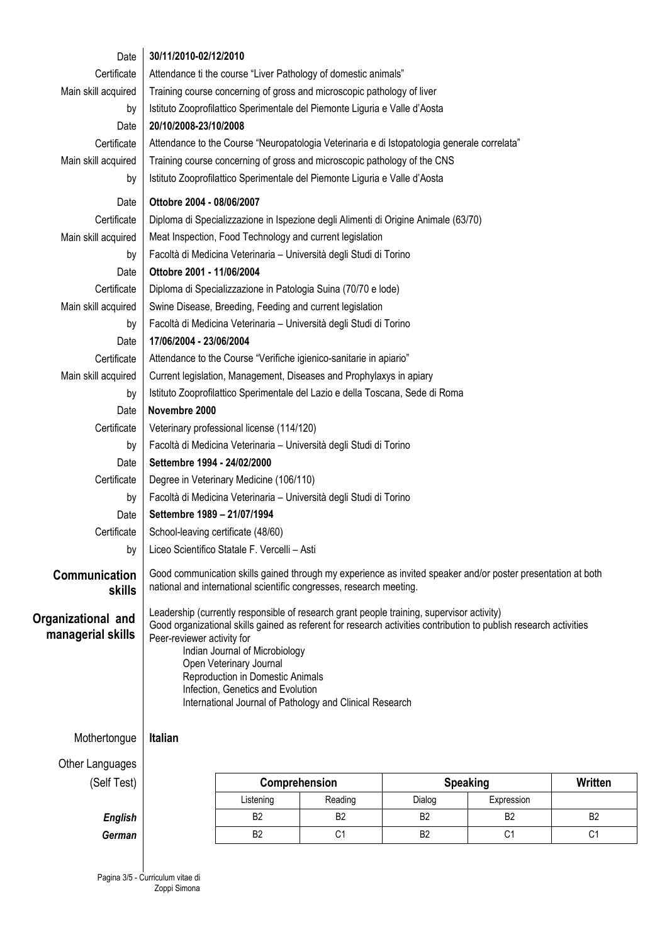| Date                                    | 30/11/2010-02/12/2010                                                                                             |                                              |                |                                                                                                              |                |                |
|-----------------------------------------|-------------------------------------------------------------------------------------------------------------------|----------------------------------------------|----------------|--------------------------------------------------------------------------------------------------------------|----------------|----------------|
| Certificate                             | Attendance ti the course "Liver Pathology of domestic animals"                                                    |                                              |                |                                                                                                              |                |                |
| Main skill acquired                     | Training course concerning of gross and microscopic pathology of liver                                            |                                              |                |                                                                                                              |                |                |
| by                                      | Istituto Zooprofilattico Sperimentale del Piemonte Liguria e Valle d'Aosta                                        |                                              |                |                                                                                                              |                |                |
| Date                                    | 20/10/2008-23/10/2008                                                                                             |                                              |                |                                                                                                              |                |                |
| Certificate                             | Attendance to the Course "Neuropatologia Veterinaria e di Istopatologia generale correlata"                       |                                              |                |                                                                                                              |                |                |
| Main skill acquired                     | Training course concerning of gross and microscopic pathology of the CNS                                          |                                              |                |                                                                                                              |                |                |
| by                                      | Istituto Zooprofilattico Sperimentale del Piemonte Liguria e Valle d'Aosta                                        |                                              |                |                                                                                                              |                |                |
| Date                                    | Ottobre 2004 - 08/06/2007                                                                                         |                                              |                |                                                                                                              |                |                |
| Certificate                             | Diploma di Specializzazione in Ispezione degli Alimenti di Origine Animale (63/70)                                |                                              |                |                                                                                                              |                |                |
| Main skill acquired                     | Meat Inspection, Food Technology and current legislation                                                          |                                              |                |                                                                                                              |                |                |
| by                                      | Facoltà di Medicina Veterinaria - Università degli Studi di Torino                                                |                                              |                |                                                                                                              |                |                |
| Date                                    | Ottobre 2001 - 11/06/2004                                                                                         |                                              |                |                                                                                                              |                |                |
| Certificate                             | Diploma di Specializzazione in Patologia Suina (70/70 e lode)                                                     |                                              |                |                                                                                                              |                |                |
| Main skill acquired                     | Swine Disease, Breeding, Feeding and current legislation                                                          |                                              |                |                                                                                                              |                |                |
| by                                      | Facoltà di Medicina Veterinaria - Università degli Studi di Torino                                                |                                              |                |                                                                                                              |                |                |
| Date                                    | 17/06/2004 - 23/06/2004                                                                                           |                                              |                |                                                                                                              |                |                |
| Certificate                             | Attendance to the Course "Verifiche igienico-sanitarie in apiario"                                                |                                              |                |                                                                                                              |                |                |
| Main skill acquired                     | Current legislation, Management, Diseases and Prophylaxys in apiary                                               |                                              |                |                                                                                                              |                |                |
| by                                      | Istituto Zooprofilattico Sperimentale del Lazio e della Toscana, Sede di Roma                                     |                                              |                |                                                                                                              |                |                |
| Date                                    | Novembre 2000                                                                                                     |                                              |                |                                                                                                              |                |                |
| Certificate                             | Veterinary professional license (114/120)                                                                         |                                              |                |                                                                                                              |                |                |
| by                                      | Facoltà di Medicina Veterinaria - Università degli Studi di Torino                                                |                                              |                |                                                                                                              |                |                |
| Date                                    | Settembre 1994 - 24/02/2000                                                                                       |                                              |                |                                                                                                              |                |                |
| Certificate                             | Degree in Veterinary Medicine (106/110)                                                                           |                                              |                |                                                                                                              |                |                |
| by                                      | Facoltà di Medicina Veterinaria - Università degli Studi di Torino                                                |                                              |                |                                                                                                              |                |                |
| Date                                    | Settembre 1989 - 21/07/1994                                                                                       |                                              |                |                                                                                                              |                |                |
| Certificate                             | School-leaving certificate (48/60)                                                                                |                                              |                |                                                                                                              |                |                |
| bν                                      |                                                                                                                   | Liceo Scientifico Statale F. Vercelli - Asti |                |                                                                                                              |                |                |
| Communication                           |                                                                                                                   |                                              |                | Good communication skills gained through my experience as invited speaker and/or poster presentation at both |                |                |
| skills                                  | national and international scientific congresses, research meeting.                                               |                                              |                |                                                                                                              |                |                |
|                                         |                                                                                                                   |                                              |                | Leadership (currently responsible of research grant people training, supervisor activity)                    |                |                |
| Organizational and<br>managerial skills | Good organizational skills gained as referent for research activities contribution to publish research activities |                                              |                |                                                                                                              |                |                |
|                                         | Peer-reviewer activity for<br>Indian Journal of Microbiology                                                      |                                              |                |                                                                                                              |                |                |
|                                         |                                                                                                                   | Open Veterinary Journal                      |                |                                                                                                              |                |                |
|                                         | Reproduction in Domestic Animals                                                                                  |                                              |                |                                                                                                              |                |                |
|                                         | Infection, Genetics and Evolution<br>International Journal of Pathology and Clinical Research                     |                                              |                |                                                                                                              |                |                |
|                                         |                                                                                                                   |                                              |                |                                                                                                              |                |                |
| Mothertongue                            | <b>Italian</b>                                                                                                    |                                              |                |                                                                                                              |                |                |
|                                         |                                                                                                                   |                                              |                |                                                                                                              |                |                |
| Other Languages                         |                                                                                                                   |                                              |                |                                                                                                              |                |                |
| (Self Test)                             |                                                                                                                   | Comprehension                                |                | <b>Speaking</b>                                                                                              |                | Written        |
|                                         |                                                                                                                   | Listening                                    | Reading        | Dialog                                                                                                       | Expression     |                |
| <b>English</b>                          |                                                                                                                   | B <sub>2</sub>                               | B <sub>2</sub> | B <sub>2</sub>                                                                                               | B <sub>2</sub> | B <sub>2</sub> |
| German                                  |                                                                                                                   | B <sub>2</sub>                               | C <sub>1</sub> | <b>B2</b>                                                                                                    | C <sub>1</sub> | C <sub>1</sub> |
|                                         |                                                                                                                   |                                              |                |                                                                                                              |                |                |

Pagina 3/5 - Curriculum vitae di Zoppi Simona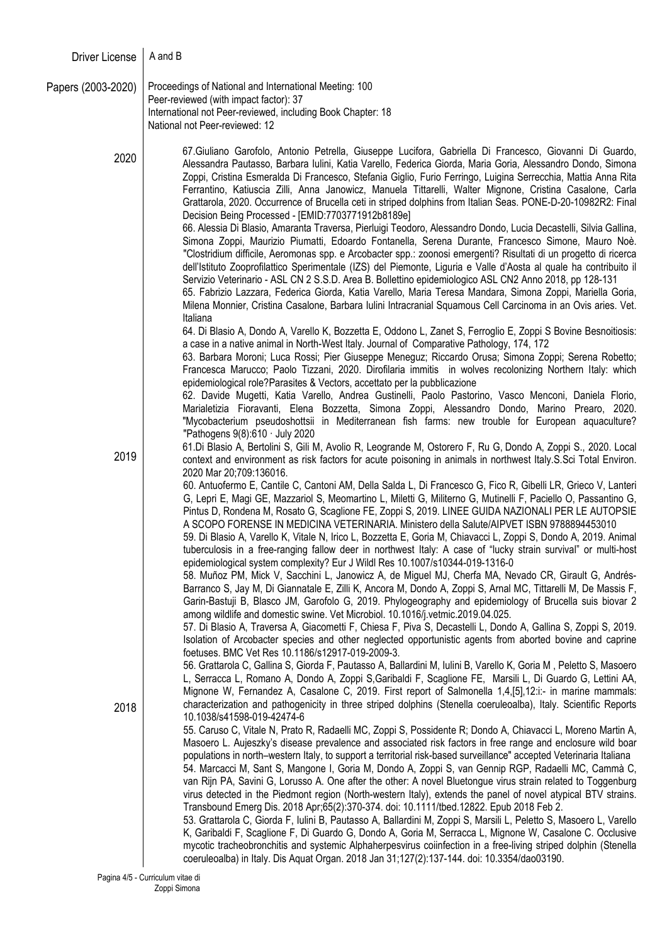| <b>Driver License</b> | A and B                                                                                                                                                                                                                                                                                                                                                                                                                                                                                                                                                                                                                                                                                                                                                                                                                                            |
|-----------------------|----------------------------------------------------------------------------------------------------------------------------------------------------------------------------------------------------------------------------------------------------------------------------------------------------------------------------------------------------------------------------------------------------------------------------------------------------------------------------------------------------------------------------------------------------------------------------------------------------------------------------------------------------------------------------------------------------------------------------------------------------------------------------------------------------------------------------------------------------|
| Papers (2003-2020)    | Proceedings of National and International Meeting: 100<br>Peer-reviewed (with impact factor): 37<br>International not Peer-reviewed, including Book Chapter: 18<br>National not Peer-reviewed: 12                                                                                                                                                                                                                                                                                                                                                                                                                                                                                                                                                                                                                                                  |
| 2020                  | 67. Giuliano Garofolo, Antonio Petrella, Giuseppe Lucifora, Gabriella Di Francesco, Giovanni Di Guardo,<br>Alessandra Pautasso, Barbara Iulini, Katia Varello, Federica Giorda, Maria Goria, Alessandro Dondo, Simona<br>Zoppi, Cristina Esmeralda Di Francesco, Stefania Giglio, Furio Ferringo, Luigina Serrecchia, Mattia Anna Rita<br>Ferrantino, Katiuscia Zilli, Anna Janowicz, Manuela Tittarelli, Walter Mignone, Cristina Casalone, Carla<br>Grattarola, 2020. Occurrence of Brucella ceti in striped dolphins from Italian Seas. PONE-D-20-10982R2: Final<br>Decision Being Processed - [EMID:7703771912b8189e]<br>66. Alessia Di Blasio, Amaranta Traversa, Pierluigi Teodoro, Alessandro Dondo, Lucia Decastelli, Silvia Gallina,<br>Simona Zoppi, Maurizio Piumatti, Edoardo Fontanella, Serena Durante, Francesco Simone, Mauro Noè. |
|                       | "Clostridium difficile, Aeromonas spp. e Arcobacter spp.: zoonosi emergenti? Risultati di un progetto di ricerca<br>dell'Istituto Zooprofilattico Sperimentale (IZS) del Piemonte, Liguria e Valle d'Aosta al quale ha contribuito il<br>Servizio Veterinario - ASL CN 2 S.S.D. Area B. Bollettino epidemiologico ASL CN2 Anno 2018, pp 128-131<br>65. Fabrizio Lazzara, Federica Giorda, Katia Varello, Maria Teresa Mandara, Simona Zoppi, Mariella Goria,<br>Milena Monnier, Cristina Casalone, Barbara Iulini Intracranial Squamous Cell Carcinoma in an Ovis aries. Vet.<br>Italiana                                                                                                                                                                                                                                                          |
|                       | 64. Di Blasio A, Dondo A, Varello K, Bozzetta E, Oddono L, Zanet S, Ferroglio E, Zoppi S Bovine Besnoitiosis:<br>a case in a native animal in North-West Italy. Journal of Comparative Pathology, 174, 172<br>63. Barbara Moroni; Luca Rossi; Pier Giuseppe Meneguz; Riccardo Orusa; Simona Zoppi; Serena Robetto;<br>Francesca Marucco; Paolo Tizzani, 2020. Dirofilaria immitis in wolves recolonizing Northern Italy: which<br>epidemiological role?Parasites & Vectors, accettato per la pubblicazione                                                                                                                                                                                                                                                                                                                                         |
|                       | 62. Davide Mugetti, Katia Varello, Andrea Gustinelli, Paolo Pastorino, Vasco Menconi, Daniela Florio,<br>Marialetizia Fioravanti, Elena Bozzetta, Simona Zoppi, Alessandro Dondo, Marino Prearo, 2020.<br>"Mycobacterium pseudoshottsii in Mediterranean fish farms: new trouble for European aquaculture?<br>"Pathogens $9(8):610 \cdot$ July 2020                                                                                                                                                                                                                                                                                                                                                                                                                                                                                                |
| 2019                  | 61.Di Blasio A, Bertolini S, Gili M, Avolio R, Leogrande M, Ostorero F, Ru G, Dondo A, Zoppi S., 2020. Local<br>context and environment as risk factors for acute poisoning in animals in northwest Italy.S.Sci Total Environ.<br>2020 Mar 20;709:136016.<br>60. Antuofermo E, Cantile C, Cantoni AM, Della Salda L, Di Francesco G, Fico R, Gibelli LR, Grieco V, Lanteri                                                                                                                                                                                                                                                                                                                                                                                                                                                                         |
|                       | G, Lepri E, Magi GE, Mazzariol S, Meomartino L, Miletti G, Militerno G, Mutinelli F, Paciello O, Passantino G,<br>Pintus D, Rondena M, Rosato G, Scaglione FE, Zoppi S, 2019. LINEE GUIDA NAZIONALI PER LE AUTOPSIE<br>A SCOPO FORENSE IN MEDICINA VETERINARIA. Ministero della Salute/AIPVET ISBN 9788894453010<br>59. Di Blasio A, Varello K, Vitale N, Irico L, Bozzetta E, Goria M, Chiavacci L, Zoppi S, Dondo A, 2019. Animal<br>tuberculosis in a free-ranging fallow deer in northwest Italy: A case of "lucky strain survival" or multi-host<br>epidemiological system complexity? Eur J Wildl Res 10.1007/s10344-019-1316-0                                                                                                                                                                                                              |
|                       | 58. Muñoz PM, Mick V, Sacchini L, Janowicz A, de Miguel MJ, Cherfa MA, Nevado CR, Girault G, Andrés-<br>Barranco S, Jay M, Di Giannatale E, Zilli K, Ancora M, Dondo A, Zoppi S, Arnal MC, Tittarelli M, De Massis F,<br>Garin-Bastuji B, Blasco JM, Garofolo G, 2019. Phylogeography and epidemiology of Brucella suis biovar 2<br>among wildlife and domestic swine. Vet Microbiol. 10.1016/j.vetmic.2019.04.025.<br>57. Di Blasio A, Traversa A, Giacometti F, Chiesa F, Piva S, Decastelli L, Dondo A, Gallina S, Zoppi S, 2019.<br>Isolation of Arcobacter species and other neglected opportunistic agents from aborted bovine and caprine                                                                                                                                                                                                   |
|                       | foetuses. BMC Vet Res 10.1186/s12917-019-2009-3.<br>56. Grattarola C, Gallina S, Giorda F, Pautasso A, Ballardini M, Iulini B, Varello K, Goria M, Peletto S, Masoero<br>L, Serracca L, Romano A, Dondo A, Zoppi S, Garibaldi F, Scaglione FE, Marsili L, Di Guardo G, Lettini AA,<br>Mignone W, Fernandez A, Casalone C, 2019. First report of Salmonella 1,4, [5], 12: i:- in marine mammals:<br>characterization and pathogenicity in three striped dolphins (Stenella coeruleoalba), Italy. Scientific Reports                                                                                                                                                                                                                                                                                                                                 |
| 2018                  | 10.1038/s41598-019-42474-6<br>55. Caruso C, Vitale N, Prato R, Radaelli MC, Zoppi S, Possidente R; Dondo A, Chiavacci L, Moreno Martin A,<br>Masoero L. Aujeszky's disease prevalence and associated risk factors in free range and enclosure wild boar<br>populations in north-western Italy, to support a territorial risk-based surveillance" accepted Veterinaria Italiana<br>54. Marcacci M, Sant S, Mangone I, Goria M, Dondo A, Zoppi S, van Gennip RGP, Radaelli MC, Cammà C,                                                                                                                                                                                                                                                                                                                                                              |
|                       | van Rijn PA, Savini G, Lorusso A. One after the other: A novel Bluetongue virus strain related to Toggenburg<br>virus detected in the Piedmont region (North-western Italy), extends the panel of novel atypical BTV strains.<br>Transbound Emerg Dis. 2018 Apr;65(2):370-374. doi: 10.1111/tbed.12822. Epub 2018 Feb 2.<br>53. Grattarola C, Giorda F, Iulini B, Pautasso A, Ballardini M, Zoppi S, Marsili L, Peletto S, Masoero L, Varello<br>K, Garibaldi F, Scaglione F, Di Guardo G, Dondo A, Goria M, Serracca L, Mignone W, Casalone C. Occlusive<br>mycotic tracheobronchitis and systemic Alphaherpesvirus coiinfection in a free-living striped dolphin (Stenella<br>coeruleoalba) in Italy. Dis Aquat Organ. 2018 Jan 31;127(2):137-144. doi: 10.3354/dao03190.                                                                        |
|                       | Pagina 4/5 - Curriculum vitae di<br>Zoppi Simona                                                                                                                                                                                                                                                                                                                                                                                                                                                                                                                                                                                                                                                                                                                                                                                                   |